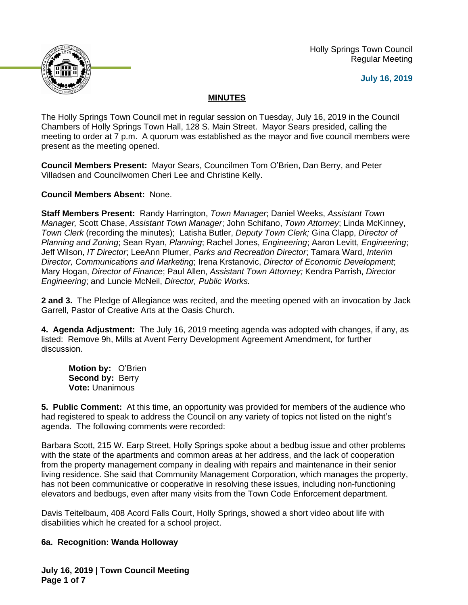

 Holly Springs Town Council Regular Meeting

## **July 16, 2019**

# **MINUTES**

The Holly Springs Town Council met in regular session on Tuesday, July 16, 2019 in the Council Chambers of Holly Springs Town Hall, 128 S. Main Street. Mayor Sears presided, calling the meeting to order at 7 p.m. A quorum was established as the mayor and five council members were present as the meeting opened.

**Council Members Present:** Mayor Sears, Councilmen Tom O'Brien, Dan Berry, and Peter Villadsen and Councilwomen Cheri Lee and Christine Kelly.

**Council Members Absent:** None.

**Staff Members Present:** Randy Harrington, *Town Manager*; Daniel Weeks, *Assistant Town Manager,* Scott Chase, *Assistant Town Manager*; John Schifano, *Town Attorney*; Linda McKinney, *Town Clerk* (recording the minutes); Latisha Butler, *Deputy Town Clerk;* Gina Clapp, *Director of Planning and Zoning*; Sean Ryan, *Planning*; Rachel Jones, *Engineering*; Aaron Levitt, *Engineering*; Jeff Wilson, *IT Director*; LeeAnn Plumer, *Parks and Recreation Director*; Tamara Ward, *Interim Director, Communications and Marketing*; Irena Krstanovic, *Director of Economic Development*; Mary Hogan, *Director of Finance*; Paul Allen, *Assistant Town Attorney;* Kendra Parrish, *Director Engineering*; and Luncie McNeil, *Director, Public Works.*

**2 and 3.** The Pledge of Allegiance was recited, and the meeting opened with an invocation by Jack Garrell, Pastor of Creative Arts at the Oasis Church.

**4. Agenda Adjustment:** The July 16, 2019 meeting agenda was adopted with changes, if any, as listed: Remove 9h, Mills at Avent Ferry Development Agreement Amendment, for further discussion.

**Motion by:** O'Brien Second by: Berry **Vote:** Unanimous

**5. Public Comment:** At this time, an opportunity was provided for members of the audience who had registered to speak to address the Council on any variety of topics not listed on the night's agenda. The following comments were recorded:

Barbara Scott, 215 W. Earp Street, Holly Springs spoke about a bedbug issue and other problems with the state of the apartments and common areas at her address, and the lack of cooperation from the property management company in dealing with repairs and maintenance in their senior living residence. She said that Community Management Corporation, which manages the property, has not been communicative or cooperative in resolving these issues, including non-functioning elevators and bedbugs, even after many visits from the Town Code Enforcement department.

Davis Teitelbaum, 408 Acord Falls Court, Holly Springs, showed a short video about life with disabilities which he created for a school project.

# **6a. Recognition: Wanda Holloway**

**July 16, 2019 | Town Council Meeting Page 1 of 7**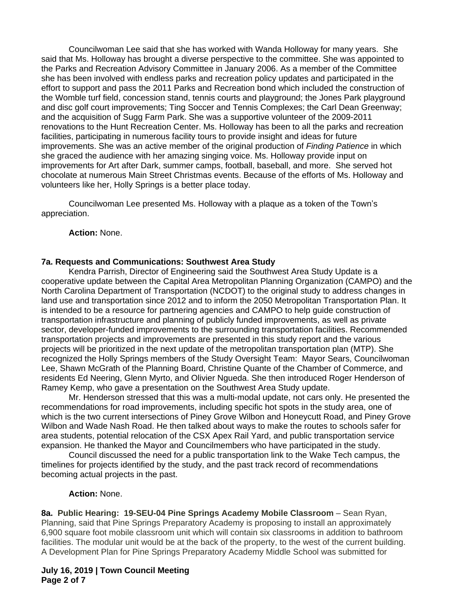Councilwoman Lee said that she has worked with Wanda Holloway for many years. She said that Ms. Holloway has brought a diverse perspective to the committee. She was appointed to the Parks and Recreation Advisory Committee in January 2006. As a member of the Committee she has been involved with endless parks and recreation policy updates and participated in the effort to support and pass the 2011 Parks and Recreation bond which included the construction of the Womble turf field, concession stand, tennis courts and playground; the Jones Park playground and disc golf court improvements; Ting Soccer and Tennis Complexes; the Carl Dean Greenway; and the acquisition of Sugg Farm Park. She was a supportive volunteer of the 2009-2011 renovations to the Hunt Recreation Center. Ms. Holloway has been to all the parks and recreation facilities, participating in numerous facility tours to provide insight and ideas for future improvements. She was an active member of the original production of *Finding Patience* in which she graced the audience with her amazing singing voice. Ms. Holloway provide input on improvements for Art after Dark, summer camps, football, baseball, and more. She served hot chocolate at numerous Main Street Christmas events. Because of the efforts of Ms. Holloway and volunteers like her, Holly Springs is a better place today.

Councilwoman Lee presented Ms. Holloway with a plaque as a token of the Town's appreciation.

### **Action:** None.

#### **7a. Requests and Communications: Southwest Area Study**

Kendra Parrish, Director of Engineering said the Southwest Area Study Update is a cooperative update between the Capital Area Metropolitan Planning Organization (CAMPO) and the North Carolina Department of Transportation (NCDOT) to the original study to address changes in land use and transportation since 2012 and to inform the 2050 Metropolitan Transportation Plan. It is intended to be a resource for partnering agencies and CAMPO to help guide construction of transportation infrastructure and planning of publicly funded improvements, as well as private sector, developer-funded improvements to the surrounding transportation facilities. Recommended transportation projects and improvements are presented in this study report and the various projects will be prioritized in the next update of the metropolitan transportation plan (MTP). She recognized the Holly Springs members of the Study Oversight Team: Mayor Sears, Councilwoman Lee, Shawn McGrath of the Planning Board, Christine Quante of the Chamber of Commerce, and residents Ed Neering, Glenn Myrto, and Olivier Ngueda. She then introduced Roger Henderson of Ramey Kemp, who gave a presentation on the Southwest Area Study update.

Mr. Henderson stressed that this was a multi-modal update, not cars only. He presented the recommendations for road improvements, including specific hot spots in the study area, one of which is the two current intersections of Piney Grove Wilbon and Honeycutt Road, and Piney Grove Wilbon and Wade Nash Road. He then talked about ways to make the routes to schools safer for area students, potential relocation of the CSX Apex Rail Yard, and public transportation service expansion. He thanked the Mayor and Councilmembers who have participated in the study.

Council discussed the need for a public transportation link to the Wake Tech campus, the timelines for projects identified by the study, and the past track record of recommendations becoming actual projects in the past.

#### **Action:** None.

**8a. Public Hearing: 19-SEU-04 Pine Springs Academy Mobile Classroom** – Sean Ryan, Planning, said that Pine Springs Preparatory Academy is proposing to install an approximately 6,900 square foot mobile classroom unit which will contain six classrooms in addition to bathroom facilities. The modular unit would be at the back of the property, to the west of the current building. A Development Plan for Pine Springs Preparatory Academy Middle School was submitted for

### **July 16, 2019 | Town Council Meeting Page 2 of 7**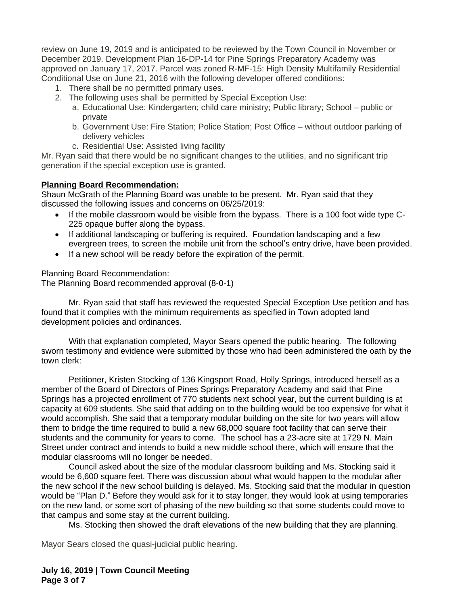review on June 19, 2019 and is anticipated to be reviewed by the Town Council in November or December 2019. Development Plan 16-DP-14 for Pine Springs Preparatory Academy was approved on January 17, 2017. Parcel was zoned R-MF-15: High Density Multifamily Residential Conditional Use on June 21, 2016 with the following developer offered conditions:

- 1. There shall be no permitted primary uses.
- 2. The following uses shall be permitted by Special Exception Use:
	- a. Educational Use: Kindergarten; child care ministry; Public library; School public or private
	- b. Government Use: Fire Station; Police Station; Post Office without outdoor parking of delivery vehicles
	- c. Residential Use: Assisted living facility

Mr. Ryan said that there would be no significant changes to the utilities, and no significant trip generation if the special exception use is granted.

### **Planning Board Recommendation:**

Shaun McGrath of the Planning Board was unable to be present. Mr. Ryan said that they discussed the following issues and concerns on 06/25/2019:

- If the mobile classroom would be visible from the bypass. There is a 100 foot wide type C-225 opaque buffer along the bypass.
- If additional landscaping or buffering is required. Foundation landscaping and a few evergreen trees, to screen the mobile unit from the school's entry drive, have been provided.
- If a new school will be ready before the expiration of the permit.

Planning Board Recommendation:

The Planning Board recommended approval (8-0-1)

Mr. Ryan said that staff has reviewed the requested Special Exception Use petition and has found that it complies with the minimum requirements as specified in Town adopted land development policies and ordinances.

With that explanation completed, Mayor Sears opened the public hearing. The following sworn testimony and evidence were submitted by those who had been administered the oath by the town clerk:

Petitioner, Kristen Stocking of 136 Kingsport Road, Holly Springs, introduced herself as a member of the Board of Directors of Pines Springs Preparatory Academy and said that Pine Springs has a projected enrollment of 770 students next school year, but the current building is at capacity at 609 students. She said that adding on to the building would be too expensive for what it would accomplish. She said that a temporary modular building on the site for two years will allow them to bridge the time required to build a new 68,000 square foot facility that can serve their students and the community for years to come. The school has a 23-acre site at 1729 N. Main Street under contract and intends to build a new middle school there, which will ensure that the modular classrooms will no longer be needed.

Council asked about the size of the modular classroom building and Ms. Stocking said it would be 6,600 square feet. There was discussion about what would happen to the modular after the new school if the new school building is delayed. Ms. Stocking said that the modular in question would be "Plan D." Before they would ask for it to stay longer, they would look at using temporaries on the new land, or some sort of phasing of the new building so that some students could move to that campus and some stay at the current building.

Ms. Stocking then showed the draft elevations of the new building that they are planning.

Mayor Sears closed the quasi-judicial public hearing.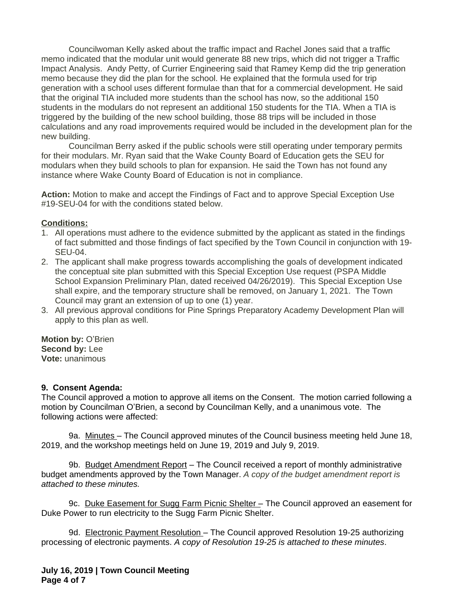Councilwoman Kelly asked about the traffic impact and Rachel Jones said that a traffic memo indicated that the modular unit would generate 88 new trips, which did not trigger a Traffic Impact Analysis. Andy Petty, of Currier Engineering said that Ramey Kemp did the trip generation memo because they did the plan for the school. He explained that the formula used for trip generation with a school uses different formulae than that for a commercial development. He said that the original TIA included more students than the school has now, so the additional 150 students in the modulars do not represent an additional 150 students for the TIA. When a TIA is triggered by the building of the new school building, those 88 trips will be included in those calculations and any road improvements required would be included in the development plan for the new building.

Councilman Berry asked if the public schools were still operating under temporary permits for their modulars. Mr. Ryan said that the Wake County Board of Education gets the SEU for modulars when they build schools to plan for expansion. He said the Town has not found any instance where Wake County Board of Education is not in compliance.

**Action:** Motion to make and accept the Findings of Fact and to approve Special Exception Use #19-SEU-04 for with the conditions stated below.

# **Conditions:**

- 1. All operations must adhere to the evidence submitted by the applicant as stated in the findings of fact submitted and those findings of fact specified by the Town Council in conjunction with 19- SEU-04.
- 2. The applicant shall make progress towards accomplishing the goals of development indicated the conceptual site plan submitted with this Special Exception Use request (PSPA Middle School Expansion Preliminary Plan, dated received 04/26/2019). This Special Exception Use shall expire, and the temporary structure shall be removed, on January 1, 2021. The Town Council may grant an extension of up to one (1) year.
- 3. All previous approval conditions for Pine Springs Preparatory Academy Development Plan will apply to this plan as well.

**Motion by:** O'Brien **Second by:** Lee **Vote:** unanimous

### **9. Consent Agenda:**

The Council approved a motion to approve all items on the Consent. The motion carried following a motion by Councilman O'Brien, a second by Councilman Kelly, and a unanimous vote. The following actions were affected:

9a. Minutes - The Council approved minutes of the Council business meeting held June 18, 2019, and the workshop meetings held on June 19, 2019 and July 9, 2019.

9b. Budget Amendment Report – The Council received a report of monthly administrative budget amendments approved by the Town Manager. *A copy of the budget amendment report is attached to these minutes.*

9c. Duke Easement for Sugg Farm Picnic Shelter - The Council approved an easement for Duke Power to run electricity to the Sugg Farm Picnic Shelter.

9d. Electronic Payment Resolution - The Council approved Resolution 19-25 authorizing processing of electronic payments. *A copy of Resolution 19-25 is attached to these minutes*.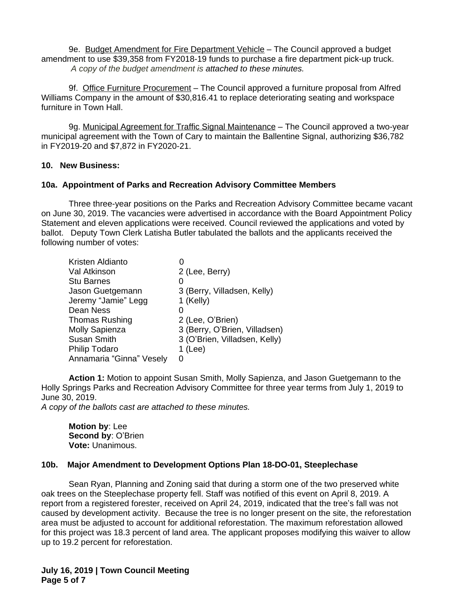9e. Budget Amendment for Fire Department Vehicle – The Council approved a budget amendment to use \$39,358 from FY2018-19 funds to purchase a fire department pick-up truck. *A copy of the budget amendment is attached to these minutes.*

9f. Office Furniture Procurement – The Council approved a furniture proposal from Alfred Williams Company in the amount of \$30,816.41 to replace deteriorating seating and workspace furniture in Town Hall.

9g. Municipal Agreement for Traffic Signal Maintenance - The Council approved a two-vear municipal agreement with the Town of Cary to maintain the Ballentine Signal, authorizing \$36,782 in FY2019-20 and \$7,872 in FY2020-21.

### **10. New Business:**

### **10a. Appointment of Parks and Recreation Advisory Committee Members**

Three three-year positions on the Parks and Recreation Advisory Committee became vacant on June 30, 2019. The vacancies were advertised in accordance with the Board Appointment Policy Statement and eleven applications were received. Council reviewed the applications and voted by ballot. Deputy Town Clerk Latisha Butler tabulated the ballots and the applicants received the following number of votes:

| 2 (Lee, Berry)                |
|-------------------------------|
|                               |
| 3 (Berry, Villadsen, Kelly)   |
| 1 (Kelly)                     |
|                               |
| 2 (Lee, O'Brien)              |
| 3 (Berry, O'Brien, Villadsen) |
| 3 (O'Brien, Villadsen, Kelly) |
| $1$ (Lee)                     |
| O                             |
|                               |

**Action 1:** Motion to appoint Susan Smith, Molly Sapienza, and Jason Guetgemann to the Holly Springs Parks and Recreation Advisory Committee for three year terms from July 1, 2019 to June 30, 2019.

*A copy of the ballots cast are attached to these minutes.*

**Motion by**: Lee **Second by**: O'Brien **Vote:** Unanimous.

### **10b. Major Amendment to Development Options Plan 18-DO-01, Steeplechase**

Sean Ryan, Planning and Zoning said that during a storm one of the two preserved white oak trees on the Steeplechase property fell. Staff was notified of this event on April 8, 2019. A report from a registered forester, received on April 24, 2019, indicated that the tree's fall was not caused by development activity. Because the tree is no longer present on the site, the reforestation area must be adjusted to account for additional reforestation. The maximum reforestation allowed for this project was 18.3 percent of land area. The applicant proposes modifying this waiver to allow up to 19.2 percent for reforestation.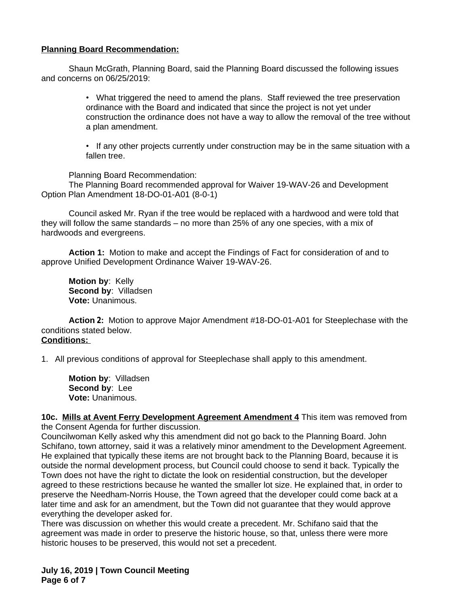# **Planning Board Recommendation:**

Shaun McGrath, Planning Board, said the Planning Board discussed the following issues and concerns on 06/25/2019:

> • What triggered the need to amend the plans. Staff reviewed the tree preservation ordinance with the Board and indicated that since the project is not yet under construction the ordinance does not have a way to allow the removal of the tree without a plan amendment.

> • If any other projects currently under construction may be in the same situation with a fallen tree.

Planning Board Recommendation:

The Planning Board recommended approval for Waiver 19-WAV-26 and Development Option Plan Amendment 18-DO-01-A01 (8-0-1)

Council asked Mr. Ryan if the tree would be replaced with a hardwood and were told that they will follow the same standards – no more than 25% of any one species, with a mix of hardwoods and evergreens.

**Action 1:** Motion to make and accept the Findings of Fact for consideration of and to approve Unified Development Ordinance Waiver 19-WAV-26.

**Motion by**: Kelly **Second by**: Villadsen **Vote:** Unanimous.

**Action 2:** Motion to approve Major Amendment #18-DO-01-A01 for Steeplechase with the conditions stated below. **Conditions:**

1. All previous conditions of approval for Steeplechase shall apply to this amendment.

**Motion by**: Villadsen **Second by**: Lee **Vote:** Unanimous.

**10c. Mills at Avent Ferry Development Agreement Amendment 4** This item was removed from the Consent Agenda for further discussion.

Councilwoman Kelly asked why this amendment did not go back to the Planning Board. John Schifano, town attorney, said it was a relatively minor amendment to the Development Agreement. He explained that typically these items are not brought back to the Planning Board, because it is outside the normal development process, but Council could choose to send it back. Typically the Town does not have the right to dictate the look on residential construction, but the developer agreed to these restrictions because he wanted the smaller lot size. He explained that, in order to preserve the Needham-Norris House, the Town agreed that the developer could come back at a later time and ask for an amendment, but the Town did not guarantee that they would approve everything the developer asked for.

There was discussion on whether this would create a precedent. Mr. Schifano said that the agreement was made in order to preserve the historic house, so that, unless there were more historic houses to be preserved, this would not set a precedent.

**July 16, 2019 | Town Council Meeting Page 6 of 7**